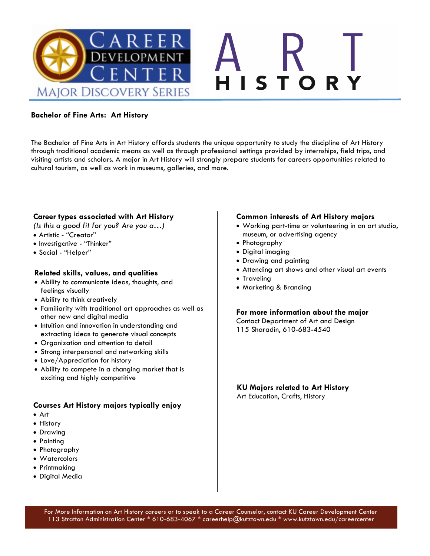

### **Bachelor of Fine Arts: Art History**

The Bachelor of Fine Arts in Art History affords students the unique opportunity to study the discipline of Art History through traditional academic means as well as through professional settings provided by internships, field trips, and visiting artists and scholars. A major in Art History will strongly prepare students for careers opportunities related to cultural tourism, as well as work in museums, galleries, and more.

### **Career types associated with Art History**

*(Is this a good fit for you? Are you a…)*

- Artistic "Creator"
- Investigative "Thinker"
- Social "Helper"

### **Related skills, values, and qualities**

- Ability to communicate ideas, thoughts, and feelings visually
- Ability to think creatively
- Familiarity with traditional art approaches as well as other new and digital media
- Intuition and innovation in understanding and extracting ideas to generate visual concepts
- Organization and attention to detail
- Strong interpersonal and networking skills
- Love/Appreciation for history
- Ability to compete in a changing market that is exciting and highly competitive

### **Courses Art History majors typically enjoy**

- Art
- History
- Drawing
- Painting
- Photography
- Watercolors
- Printmaking
- Digital Media

### **Common interests of Art History majors**

- Working part-time or volunteering in an art studio, museum, or advertising agency
- Photography
- Digital imaging
- Drawing and painting
- Attending art shows and other visual art events
- Traveling
- Marketing & Branding

### **For more information about the major**

- Contact Department of Art and Design
- 115 Sharadin, 610-683-4540

#### **KU Majors related to Art History** Art Education, Crafts, History

For More Information on Art History careers or to speak to a Career Counselor, contact KU Career Development Center 113 Stratton Administration Center \* 610-683-4067 \* careerhelp@kutztown.edu \* www.kutztown.edu/careercenter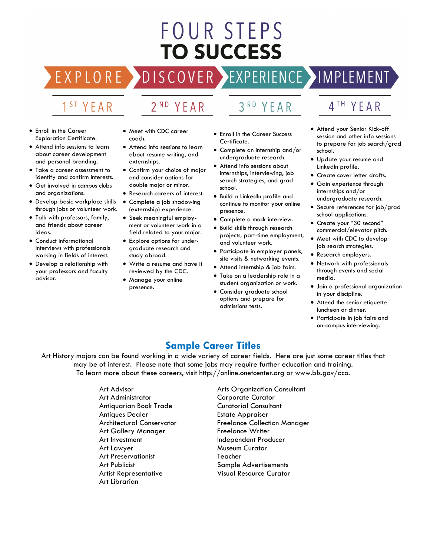# **FOUR STEPS TO SUCCESS**

COVER >

# 1<sup>ST</sup> YEAR

R

#### $2^{ND}$ Y

#### $3<sup>RD</sup>$ YEAR

- Enroll in the Career Exploration Certificate.
- Attend info sessions to learn about career development and personal branding.
- Take a career assessment to identify and confirm interests.
- Get involved in campus clubs and organizations.
- Develop basic workplace skills through jobs or volunteer work.
- Talk with professors, family, and friends about career ideas.
- Conduct informational interviews with professionals working in fields of interest.
- Develop a relationship with your professors and faculty advisor.
- Meet with CDC career coach.
- Attend info sessions to learn about resume writing, and externships.
- Confirm your choice of major and consider options for double major or minor.
- Research careers of interest.
- Complete a job shadowing (externship) experience.
- Seek meaningful employment or volunteer work in a field related to your major.
- Explore options for undergraduate research and study abroad.
- Write a resume and have it reviewed by the CDC.
- Manage your online presence.
- Enroll in the Career Success Certificate.
- Complete an internship and/or undergraduate research.
- Attend info sessions about internships, interviewing, job search strategies, and grad school.
- Build a LinkedIn profile and continue to monitor your online presence.
- Complete a mock interview.
- Build skills through research projects, part-time employment, and volunteer work.
- Participate in employer panels, site visits & networking events.
- Attend internship & job fairs.
- Take on a leadership role in a student organization or work.
- Consider graduate school options and prepare for admissions tests.

4TH YEAR

EXPERIENCE >IMPLEMENT

- Attend your Senior Kick-off session and other info sessions to prepare for job search/grad school.
- Update your resume and LinkedIn profile.
- Create cover letter drafts.
- Gain experience through internships and/or undergraduate research.
- Secure references for job/grad school applications.
- Create your "30 second" commercial/elevator pitch.
- Meet with CDC to develop job search strategies.
- Research employers.
- Network with professionals through events and social media.
- Join a professional organization in your discipline.
- Attend the senior etiquette luncheon or dinner.
- Participate in job fairs and on-campus interviewing.

### **Sample Career Titles**

Art History majors can be found working in a wide variety of career fields. Here are just some career titles that may be of interest. Please note that some jobs may require further education and training. To learn more about these careers, visit http://online.onetcenter.org or www.bls.gov/oco.

> Art Advisor Art Administrator Antiquarian Book Trade Antiques Dealer Architectural Conservator Art Gallery Manager Art Investment Art Lawyer Art Preservationist Art Publicist Artist Representative Art Librarian

Arts Organization Consultant Corporate Curator Curatorial Consultant Estate Appraiser Freelance Collection Manager Freelance Writer Independent Producer Museum Curator Teacher Sample Advertisements Visual Resource Curator

$$
E \land R
$$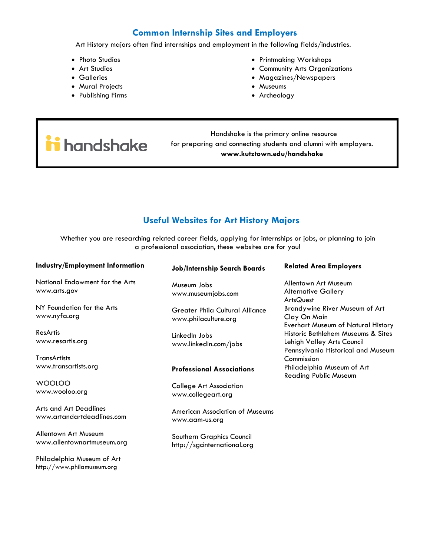### **Common Internship Sites and Employers**

Art History majors often find internships and employment in the following fields/industries.

- Photo Studios
- Art Studios
- Galleries
- Mural Projects
- Publishing Firms
- Printmaking Workshops
- Community Arts Organizations
- Magazines/Newspapers
- Museums
- Archeology

i handshake

Philadelphia Museum of Art http://www.philamuseum.org

 Handshake is the primary online resource for preparing and connecting students and alumni with employers. **www.kutztown.edu/handshake**

### **Useful Websites for Art History Majors**

Whether you are researching related career fields, applying for internships or jobs, or planning to join a professional association, these websites are for you!

| Industry/Employment Information                             | <b>Job/Internship Search Boards</b>                            | <b>Related Area Employers</b>                                                                          |
|-------------------------------------------------------------|----------------------------------------------------------------|--------------------------------------------------------------------------------------------------------|
| National Endowment for the Arts<br>www.arts.gov             | Museum Jobs<br>www.museumjobs.com                              | Allentown Art Museum<br><b>Alternative Gallery</b><br><b>ArtsQuest</b>                                 |
| NY Foundation for the Arts<br>www.nyfa.org                  | <b>Greater Phila Cultural Alliance</b><br>www.philaculture.org | Brandywine River Museum of Art<br>Clay On Main<br><b>Everhart Museum of Natural History</b>            |
| ResArtis<br>www.resartis.org                                | LinkedIn Jobs<br>www.linkedin.com/jobs                         | Historic Bethlehem Museums & Sites<br>Lehigh Valley Arts Council<br>Pennsylvania Historical and Museum |
| <b>TransArtists</b>                                         |                                                                | Commission                                                                                             |
| www.transartists.org                                        | <b>Professional Associations</b>                               | Philadelphia Museum of Art<br><b>Reading Public Museum</b>                                             |
| <b>WOOLOO</b><br>www.wooloo.org                             | <b>College Art Association</b><br>www.collegeart.org           |                                                                                                        |
| <b>Arts and Art Deadlines</b><br>www.artandartdeadlines.com | <b>American Association of Museums</b><br>www.aam-us.org       |                                                                                                        |
| Allentown Art Museum<br>www.allentownartmuseum.org          | Southern Graphics Council<br>http://sgcinternational.org       |                                                                                                        |